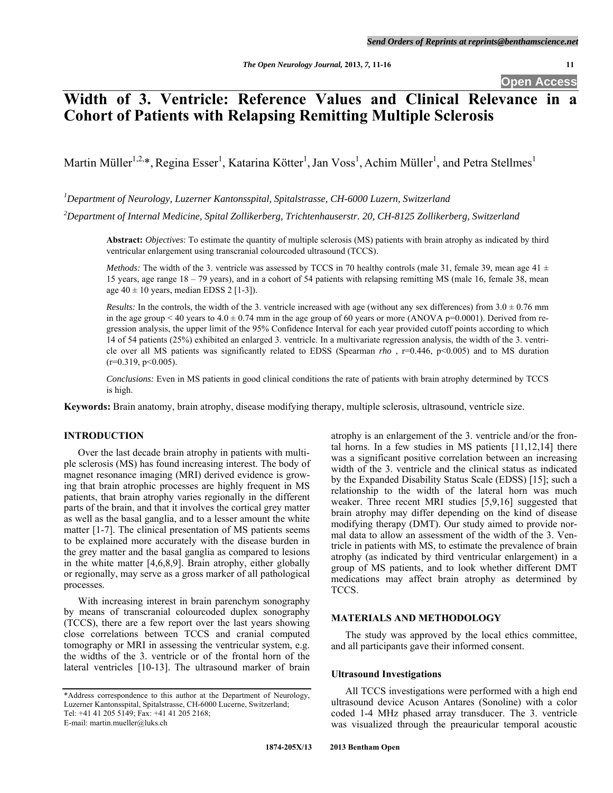# **Width of 3. Ventricle: Reference Values and Clinical Relevance in a Cohort of Patients with Relapsing Remitting Multiple Sclerosis**

Martin Müller<sup>1,2,\*</sup>, Regina Esser<sup>1</sup>, Katarina Kötter<sup>1</sup>, Jan Voss<sup>1</sup>, Achim Müller<sup>1</sup>, and Petra Stellmes<sup>1</sup>

*1 Department of Neurology, Luzerner Kantonsspital, Spitalstrasse, CH-6000 Luzern, Switzerland* 

*2 Department of Internal Medicine, Spital Zollikerberg, Trichtenhauserstr. 20, CH-8125 Zollikerberg, Switzerland* 

**Abstract:** *Objectives*: To estimate the quantity of multiple sclerosis (MS) patients with brain atrophy as indicated by third ventricular enlargement using transcranial colourcoded ultrasound (TCCS).

*Methods:* The width of the 3. ventricle was assessed by TCCS in 70 healthy controls (male 31, female 39, mean age 41  $\pm$ 15 years, age range 18 – 79 years), and in a cohort of 54 patients with relapsing remitting MS (male 16, female 38, mean age  $40 \pm 10$  years, median EDSS 2 [1-3]).

*Results:* In the controls, the width of the 3. ventricle increased with age (without any sex differences) from  $3.0 \pm 0.76$  mm in the age group < 40 years to  $4.0 \pm 0.74$  mm in the age group of 60 years or more (ANOVA p=0.0001). Derived from regression analysis, the upper limit of the 95% Confidence Interval for each year provided cutoff points according to which 14 of 54 patients (25%) exhibited an enlarged 3. ventricle. In a multivariate regression analysis, the width of the 3. ventricle over all MS patients was significantly related to EDSS (Spearman *rho* , r=0.446, p<0.005) and to MS duration  $(r=0.319, p<0.005)$ .

*Conclusions:* Even in MS patients in good clinical conditions the rate of patients with brain atrophy determined by TCCS is high.

**Keywords:** Brain anatomy, brain atrophy, disease modifying therapy, multiple sclerosis, ultrasound, ventricle size.

# **INTRODUCTION**

 Over the last decade brain atrophy in patients with multiple sclerosis (MS) has found increasing interest. The body of magnet resonance imaging (MRI) derived evidence is growing that brain atrophic processes are highly frequent in MS patients, that brain atrophy varies regionally in the different parts of the brain, and that it involves the cortical grey matter as well as the basal ganglia, and to a lesser amount the white matter [1-7]. The clinical presentation of MS patients seems to be explained more accurately with the disease burden in the grey matter and the basal ganglia as compared to lesions in the white matter [4,6,8,9]. Brain atrophy, either globally or regionally, may serve as a gross marker of all pathological processes.

 With increasing interest in brain parenchym sonography by means of transcranial colourcoded duplex sonography (TCCS), there are a few report over the last years showing close correlations between TCCS and cranial computed tomography or MRI in assessing the ventricular system, e.g. the widths of the 3. ventricle or of the frontal horn of the lateral ventricles [10-13]. The ultrasound marker of brain

E-mail: martin.mueller@luks.ch

atrophy is an enlargement of the 3. ventricle and/or the frontal horns. In a few studies in MS patients [11,12,14] there was a significant positive correlation between an increasing width of the 3. ventricle and the clinical status as indicated by the Expanded Disability Status Scale (EDSS) [15]; such a relationship to the width of the lateral horn was much weaker. Three recent MRI studies [5,9,16] suggested that brain atrophy may differ depending on the kind of disease modifying therapy (DMT). Our study aimed to provide normal data to allow an assessment of the width of the 3. Ventricle in patients with MS, to estimate the prevalence of brain atrophy (as indicated by third ventricular enlargement) in a group of MS patients, and to look whether different DMT medications may affect brain atrophy as determined by TCCS.

# **MATERIALS AND METHODOLOGY**

 The study was approved by the local ethics committee, and all participants gave their informed consent.

### **Ultrasound Investigations**

 All TCCS investigations were performed with a high end ultrasound device Acuson Antares (Sonoline) with a color coded 1-4 MHz phased array transducer. The 3. ventricle was visualized through the preauricular temporal acoustic

<sup>\*</sup>Address correspondence to this author at the Department of Neurology, Luzerner Kantonsspital, Spitalstrasse, CH-6000 Lucerne, Switzerland; Tel: +41 41 205 5149; Fax: +41 41 205 2168;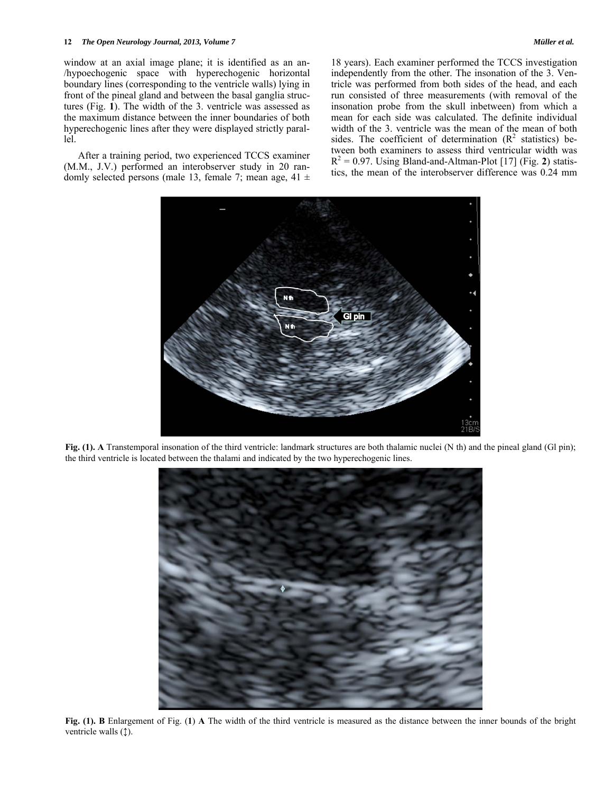#### **12** *The Open Neurology Journal, 2013, Volume 7 Müller et al.*

window at an axial image plane; it is identified as an an- /hypoechogenic space with hyperechogenic horizontal boundary lines (corresponding to the ventricle walls) lying in front of the pineal gland and between the basal ganglia structures (Fig. **1**). The width of the 3. ventricle was assessed as the maximum distance between the inner boundaries of both hyperechogenic lines after they were displayed strictly parallel.

 After a training period, two experienced TCCS examiner (M.M., J.V.) performed an interobserver study in 20 randomly selected persons (male 13, female 7; mean age,  $41 \pm$  18 years). Each examiner performed the TCCS investigation independently from the other. The insonation of the 3. Ventricle was performed from both sides of the head, and each run consisted of three measurements (with removal of the insonation probe from the skull inbetween) from which a mean for each side was calculated. The definite individual width of the 3. ventricle was the mean of the mean of both sides. The coefficient of determination  $(R^2$  statistics) between both examiners to assess third ventricular width was  $R^2 = 0.97$ . Using Bland-and-Altman-Plot [17] (Fig. 2) statistics, the mean of the interobserver difference was 0.24 mm



**Fig. (1). A** Transtemporal insonation of the third ventricle: landmark structures are both thalamic nuclei (N th) and the pineal gland (Gl pin); the third ventricle is located between the thalami and indicated by the two hyperechogenic lines.



**Fig. (1). B** Enlargement of Fig. (**1**) **A** The width of the third ventricle is measured as the distance between the inner bounds of the bright ventricle walls (1).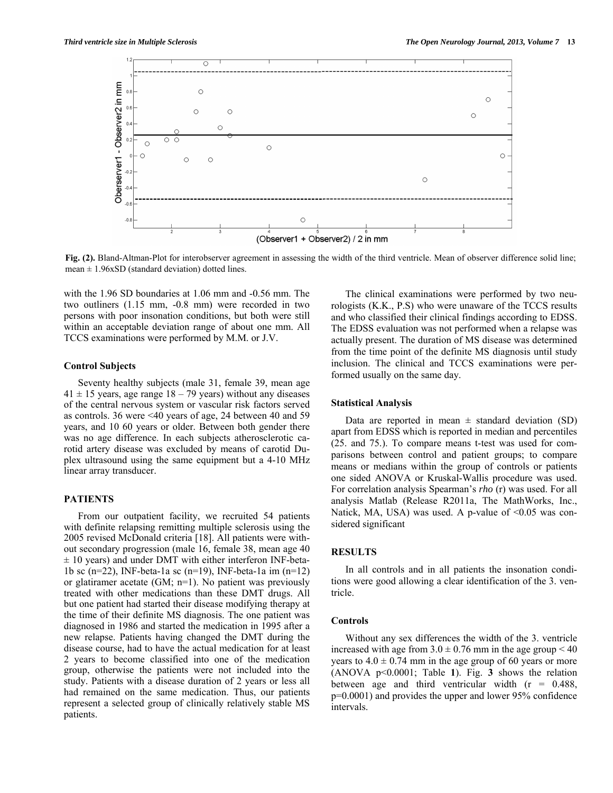

Fig. (2). Bland-Altman-Plot for interobserver agreement in assessing the width of the third ventricle. Mean of observer difference solid line; mean  $\pm$  1.96xSD (standard deviation) dotted lines.

with the 1.96 SD boundaries at 1.06 mm and -0.56 mm. The two outliners (1.15 mm, -0.8 mm) were recorded in two persons with poor insonation conditions, but both were still within an acceptable deviation range of about one mm. All TCCS examinations were performed by M.M. or J.V.

## **Control Subjects**

 Seventy healthy subjects (male 31, female 39, mean age  $41 \pm 15$  years, age range  $18 - 79$  years) without any diseases of the central nervous system or vascular risk factors served as controls. 36 were <40 years of age, 24 between 40 and 59 years, and 10 60 years or older. Between both gender there was no age difference. In each subjects atherosclerotic carotid artery disease was excluded by means of carotid Duplex ultrasound using the same equipment but a 4-10 MHz linear array transducer.

#### **PATIENTS**

 From our outpatient facility, we recruited 54 patients with definite relapsing remitting multiple sclerosis using the 2005 revised McDonald criteria [18]. All patients were without secondary progression (male 16, female 38, mean age 40  $\pm$  10 years) and under DMT with either interferon INF-beta-1b sc (n=22), INF-beta-1a sc (n=19), INF-beta-1a im (n=12) or glatiramer acetate (GM; n=1). No patient was previously treated with other medications than these DMT drugs. All but one patient had started their disease modifying therapy at the time of their definite MS diagnosis. The one patient was diagnosed in 1986 and started the medication in 1995 after a new relapse. Patients having changed the DMT during the disease course, had to have the actual medication for at least 2 years to become classified into one of the medication group, otherwise the patients were not included into the study. Patients with a disease duration of 2 years or less all had remained on the same medication. Thus, our patients represent a selected group of clinically relatively stable MS patients.

 The clinical examinations were performed by two neurologists (K.K., P.S) who were unaware of the TCCS results and who classified their clinical findings according to EDSS. The EDSS evaluation was not performed when a relapse was actually present. The duration of MS disease was determined from the time point of the definite MS diagnosis until study inclusion. The clinical and TCCS examinations were performed usually on the same day.

## **Statistical Analysis**

Data are reported in mean  $\pm$  standard deviation (SD) apart from EDSS which is reported in median and percentiles (25. and 75.). To compare means t-test was used for comparisons between control and patient groups; to compare means or medians within the group of controls or patients one sided ANOVA or Kruskal-Wallis procedure was used. For correlation analysis Spearman's *rho* (r) was used. For all analysis Matlab (Release R2011a, The MathWorks, Inc., Natick, MA, USA) was used. A p-value of  $\leq 0.05$  was considered significant

#### **RESULTS**

 In all controls and in all patients the insonation conditions were good allowing a clear identification of the 3. ventricle.

#### **Controls**

 Without any sex differences the width of the 3. ventricle increased with age from  $3.0 \pm 0.76$  mm in the age group  $\leq 40$ years to  $4.0 \pm 0.74$  mm in the age group of 60 years or more (ANOVA p<0.0001; Table **1**). Fig. **3** shows the relation between age and third ventricular width  $(r = 0.488)$ , p=0.0001) and provides the upper and lower 95% confidence intervals.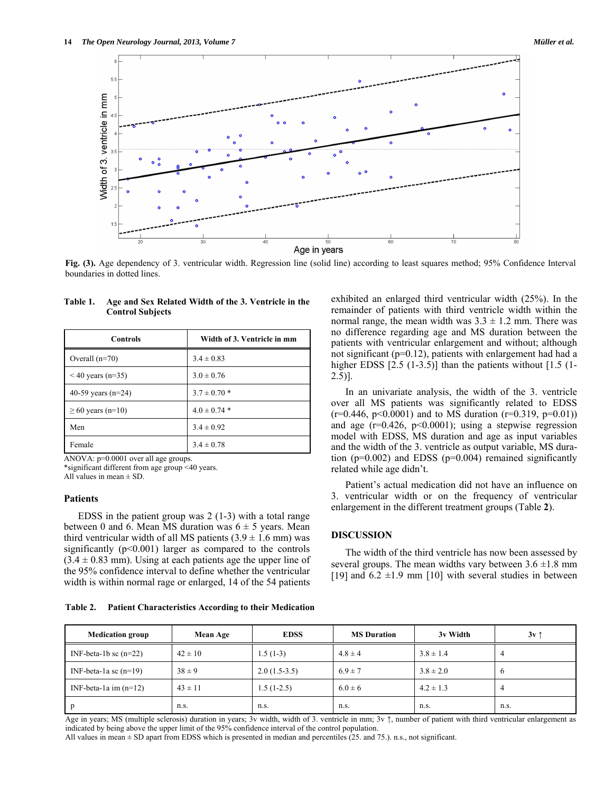

**Fig. (3).** Age dependency of 3. ventricular width. Regression line (solid line) according to least squares method; 95% Confidence Interval boundaries in dotted lines.

| <b>Controls</b>        | Width of 3. Ventricle in mm |  |  |
|------------------------|-----------------------------|--|--|
| Overall $(n=70)$       | $3.4 \pm 0.83$              |  |  |
| $< 40$ years (n=35)    | $3.0 \pm 0.76$              |  |  |
| 40-59 years ( $n=24$ ) | $3.7 \pm 0.70$ *            |  |  |
| $\geq 60$ years (n=10) | $4.0 \pm 0.74$ *            |  |  |
| Men                    | $3.4 \pm 0.92$              |  |  |
| Female                 | $3.4 \pm 0.78$              |  |  |

## **Table 1. Age and Sex Related Width of the 3. Ventricle in the Control Subjects**

ANOVA: p=0.0001 over all age groups.

\*significant different from age group <40 years.

All values in mean  $\pm$  SD.

# **Patients**

 EDSS in the patient group was 2 (1-3) with a total range between 0 and 6. Mean MS duration was  $6 \pm 5$  years. Mean third ventricular width of all MS patients  $(3.9 \pm 1.6 \text{ mm})$  was significantly  $(p<0.001)$  larger as compared to the controls  $(3.4 \pm 0.83$  mm). Using at each patients age the upper line of the 95% confidence interval to define whether the ventricular width is within normal rage or enlarged, 14 of the 54 patients exhibited an enlarged third ventricular width (25%). In the remainder of patients with third ventricle width within the normal range, the mean width was  $3.3 \pm 1.2$  mm. There was no difference regarding age and MS duration between the patients with ventricular enlargement and without; although not significant (p=0.12), patients with enlargement had had a higher EDSS [2.5 (1-3.5)] than the patients without [1.5 (1-2.5)].

 In an univariate analysis, the width of the 3. ventricle over all MS patients was significantly related to EDSS  $(r=0.446, p<0.0001)$  and to MS duration  $(r=0.319, p=0.01)$ and age  $(r=0.426, p<0.0001)$ ; using a stepwise regression model with EDSS, MS duration and age as input variables and the width of the 3. ventricle as output variable, MS duration ( $p=0.002$ ) and EDSS ( $p=0.004$ ) remained significantly related while age didn't.

 Patient's actual medication did not have an influence on 3. ventricular width or on the frequency of ventricular enlargement in the different treatment groups (Table **2**).

## **DISCUSSION**

 The width of the third ventricle has now been assessed by several groups. The mean widths vary between  $3.6 \pm 1.8$  mm [19] and  $6.2 \pm 1.9$  mm [10] with several studies in between

**Table 2. Patient Characteristics According to their Medication** 

| <b>Medication group</b> | Mean Age    | <b>EDSS</b>    | <b>MS Duration</b> | 3v Width      | 3v1     |
|-------------------------|-------------|----------------|--------------------|---------------|---------|
| INF-beta-1b sc $(n=22)$ | $42 \pm 10$ | $1.5(1-3)$     | $4.8 \pm 4$        | $3.8 \pm 1.4$ | 4       |
| INF-beta-1a sc $(n=19)$ | $38 \pm 9$  | $2.0(1.5-3.5)$ | $6.9 \pm 7$        | $3.8 \pm 2.0$ | $\circ$ |
| INF-beta-1a im $(n=12)$ | $43 \pm 11$ | $1.5(1-2.5)$   | $6.0 \pm 6$        | $4.2 \pm 1.3$ | 4       |
|                         | n.s.        | n.s.           | n.s.               | n.s.          | n.s.    |

Age in years; MS (multiple sclerosis) duration in years; 3v width, width of 3. ventricle in mm; 3v ↑, number of patient with third ventricular enlargement as indicated by being above the upper limit of the 95% confidence interval of the control population.

All values in mean ± SD apart from EDSS which is presented in median and percentiles (25. and 75.). n.s., not significant.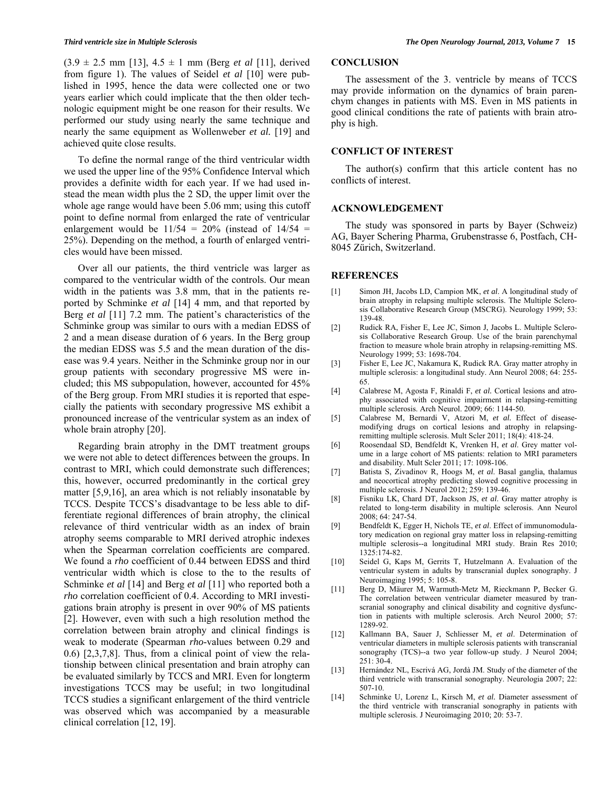(3.9 ± 2.5 mm [13], 4.5 ± 1 mm (Berg *et al* [11], derived from figure 1). The values of Seidel *et al* [10] were published in 1995, hence the data were collected one or two years earlier which could implicate that the then older technologic equipment might be one reason for their results. We performed our study using nearly the same technique and nearly the same equipment as Wollenweber *et al.* [19] and achieved quite close results.

 To define the normal range of the third ventricular width we used the upper line of the 95% Confidence Interval which provides a definite width for each year. If we had used instead the mean width plus the 2 SD, the upper limit over the whole age range would have been 5.06 mm; using this cutoff point to define normal from enlarged the rate of ventricular enlargement would be  $11/54 = 20\%$  (instead of  $14/54 =$ 25%). Depending on the method, a fourth of enlarged ventricles would have been missed.

 Over all our patients, the third ventricle was larger as compared to the ventricular width of the controls. Our mean width in the patients was 3.8 mm, that in the patients reported by Schminke *et al* [14] 4 mm, and that reported by Berg *et al* [11] 7.2 mm. The patient's characteristics of the Schminke group was similar to ours with a median EDSS of 2 and a mean disease duration of 6 years. In the Berg group the median EDSS was 5.5 and the mean duration of the disease was 9.4 years. Neither in the Schminke group nor in our group patients with secondary progressive MS were included; this MS subpopulation, however, accounted for 45% of the Berg group. From MRI studies it is reported that especially the patients with secondary progressive MS exhibit a pronounced increase of the ventricular system as an index of whole brain atrophy [20].

 Regarding brain atrophy in the DMT treatment groups we were not able to detect differences between the groups. In contrast to MRI, which could demonstrate such differences; this, however, occurred predominantly in the cortical grey matter [5,9,16], an area which is not reliably insonatable by TCCS. Despite TCCS's disadvantage to be less able to differentiate regional differences of brain atrophy, the clinical relevance of third ventricular width as an index of brain atrophy seems comparable to MRI derived atrophic indexes when the Spearman correlation coefficients are compared. We found a *rho* coefficient of 0.44 between EDSS and third ventricular width which is close to the to the results of Schminke *et al* [14] and Berg *et al* [11] who reported both a *rho* correlation coefficient of 0.4. According to MRI investigations brain atrophy is present in over 90% of MS patients [2]. However, even with such a high resolution method the correlation between brain atrophy and clinical findings is weak to moderate (Spearman *rho*-values between 0.29 and 0.6) [2,3,7,8]. Thus, from a clinical point of view the relationship between clinical presentation and brain atrophy can be evaluated similarly by TCCS and MRI. Even for longterm investigations TCCS may be useful; in two longitudinal TCCS studies a significant enlargement of the third ventricle was observed which was accompanied by a measurable clinical correlation [12, 19].

# **CONCLUSION**

 The assessment of the 3. ventricle by means of TCCS may provide information on the dynamics of brain parenchym changes in patients with MS. Even in MS patients in good clinical conditions the rate of patients with brain atrophy is high.

## **CONFLICT OF INTEREST**

 The author(s) confirm that this article content has no conflicts of interest.

#### **ACKNOWLEDGEMENT**

 The study was sponsored in parts by Bayer (Schweiz) AG, Bayer Schering Pharma, Grubenstrasse 6, Postfach, CH-8045 Zürich, Switzerland.

#### **REFERENCES**

- [1] Simon JH, Jacobs LD, Campion MK, *et al*. A longitudinal study of brain atrophy in relapsing multiple sclerosis. The Multiple Sclerosis Collaborative Research Group (MSCRG). Neurology 1999; 53: 139-48.
- [2] Rudick RA, Fisher E, Lee JC, Simon J, Jacobs L. Multiple Sclerosis Collaborative Research Group. Use of the brain parenchymal fraction to measure whole brain atrophy in relapsing-remitting MS. Neurology 1999; 53: 1698-704.
- [3] Fisher E, Lee JC, Nakamura K, Rudick RA. Gray matter atrophy in multiple sclerosis: a longitudinal study. Ann Neurol 2008; 64: 255- 65.
- [4] Calabrese M, Agosta F, Rinaldi F, *et al.* Cortical lesions and atrophy associated with cognitive impairment in relapsing-remitting multiple sclerosis. Arch Neurol. 2009; 66: 1144-50.
- [5] Calabrese M, Bernardi V, Atzori M, *et al.* Effect of diseasemodifying drugs on cortical lesions and atrophy in relapsingremitting multiple sclerosis. Mult Scler 2011; 18(4): 418-24.
- [6] Roosendaal SD, Bendfeldt K, Vrenken H, *et al*. Grey matter volume in a large cohort of MS patients: relation to MRI parameters and disability. Mult Scler 2011; 17: 1098-106.
- [7] Batista S, Zivadinov R, Hoogs M, *et al*. Basal ganglia, thalamus and neocortical atrophy predicting slowed cognitive processing in multiple sclerosis. J Neurol 2012; 259: 139-46.
- [8] Fisniku LK, Chard DT, Jackson JS, *et al*. Gray matter atrophy is related to long-term disability in multiple sclerosis. Ann Neurol 2008; 64: 247-54.
- [9] Bendfeldt K, Egger H, Nichols TE, *et al*. Effect of immunomodulatory medication on regional gray matter loss in relapsing-remitting multiple sclerosis--a longitudinal MRI study. Brain Res 2010; 1325:174-82.
- [10] Seidel G, Kaps M, Gerrits T, Hutzelmann A. Evaluation of the ventricular system in adults by transcranial duplex sonography. J Neuroimaging 1995; 5: 105-8.
- [11] Berg D, Mäurer M, Warmuth-Metz M, Rieckmann P, Becker G. The correlation between ventricular diameter measured by transcranial sonography and clinical disability and cognitive dysfunction in patients with multiple sclerosis. Arch Neurol 2000; 57: 1289-92.
- [12] Kallmann BA, Sauer J, Schliesser M, *et al*. Determination of ventricular diameters in multiple sclerosis patients with transcranial sonography (TCS)--a two year follow-up study. J Neurol 2004; 251: 30-4.
- [13] Hernández NL, Escrivá AG, Jordà JM. Study of the diameter of the third ventricle with transcranial sonography. Neurologia 2007; 22: 507-10.
- [14] Schminke U, Lorenz L, Kirsch M, et al. Diameter assessment of the third ventricle with transcranial sonography in patients with multiple sclerosis. J Neuroimaging 2010; 20: 53-7.